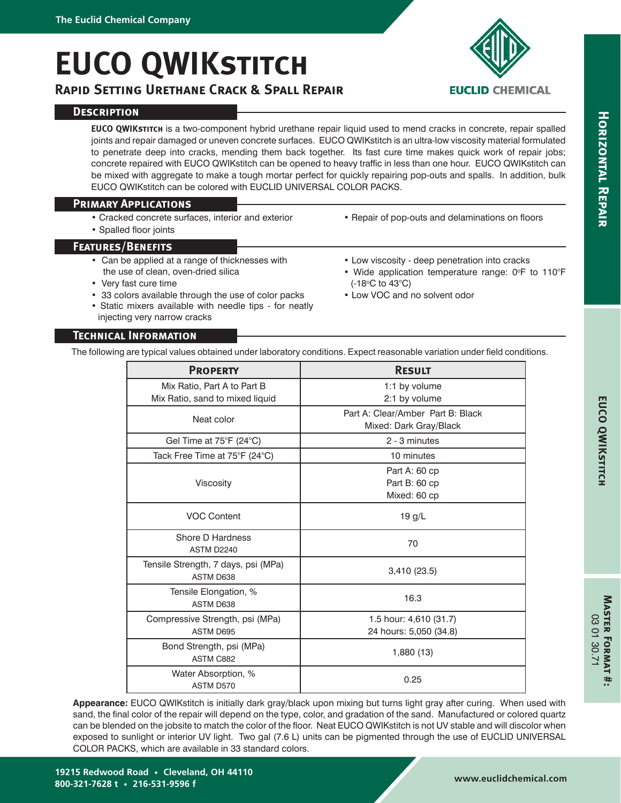# **EUCO QWIKstitch**

## **Rapid Setting Urethane Crack & Spall Repair**



**EUCO QWIKstitch** is a two-component hybrid urethane repair liquid used to mend cracks in concrete, repair spalled joints and repair damaged or uneven concrete surfaces. EUCO QWIKstitch is an ultra-low viscosity material formulated to penetrate deep into cracks, mending them back together. Its fast cure time makes quick work of repair jobs; concrete repaired with EUCO QWIKstitch can be opened to heavy traffic in less than one hour. EUCO QWIKstitch can be mixed with aggregate to make a tough mortar perfect for quickly repairing pop-outs and spalls. In addition, bulk EUCO QWIKstitch can be colored with EUCLID UNIVERSAL COLOR PACKS.

## **Primary Applications**

- Cracked concrete surfaces, interior and exterior
- Spalled floor joints

## **Features/Benefits**

- Can be applied at a range of thicknesses with the use of clean, oven-dried silica
- Very fast cure time
- 33 colors available through the use of color packs
- Static mixers available with needle tips for neatly injecting very narrow cracks
- Low viscosity deep penetration into cracks

• Repair of pop-outs and delaminations on floors

• Wide application temperature range:  $0^{\circ}$ F to 110 $^{\circ}$ F (-18oC to 43°C)

**EUCLID CHEMICAL** 

• Low VOC and no solvent odor

## **Technical Information**

The following are typical values obtained under laboratory conditions. Expect reasonable variation under field conditions.

| <b>PROPERTY</b>                                                | <b>RESULT</b>                                               |
|----------------------------------------------------------------|-------------------------------------------------------------|
| Mix Ratio, Part A to Part B<br>Mix Ratio, sand to mixed liquid | 1:1 by volume<br>2:1 by volume                              |
| Neat color                                                     | Part A: Clear/Amber Part B: Black<br>Mixed: Dark Gray/Black |
| Gel Time at 75°F (24°C)                                        | 2 - 3 minutes                                               |
| Tack Free Time at 75°F (24°C)                                  | 10 minutes                                                  |
| Viscosity                                                      | Part A: 60 cp<br>Part B: 60 cp<br>Mixed: 60 cp              |
| <b>VOC Content</b>                                             | 19 g/L                                                      |
| Shore D Hardness<br>ASTM D2240                                 | 70                                                          |
| Tensile Strength, 7 days, psi (MPa)<br>ASTM D638               | 3,410 (23.5)                                                |
| Tensile Elongation, %<br>ASTM D638                             | 16.3                                                        |
| Compressive Strength, psi (MPa)<br>ASTM D695                   | 1.5 hour: 4,610 (31.7)<br>24 hours: 5,050 (34.8)            |
| Bond Strength, psi (MPa)<br>ASTM C882                          | 1,880 (13)                                                  |
| Water Absorption, %<br>ASTM D570                               | 0.25                                                        |

**Appearance:** EUCO QWIKstitch is initially dark gray/black upon mixing but turns light gray after curing. When used with sand, the final color of the repair will depend on the type, color, and gradation of the sand. Manufactured or colored quartz can be blended on the jobsite to match the color of the floor. Neat EUCO QWIKstitch is not UV stable and will discolor when exposed to sunlight or interior UV light. Two gal (7.6 L) units can be pigmented through the use of EUCLID UNIVERSAL COLOR PACKS, which are available in 33 standard colors.